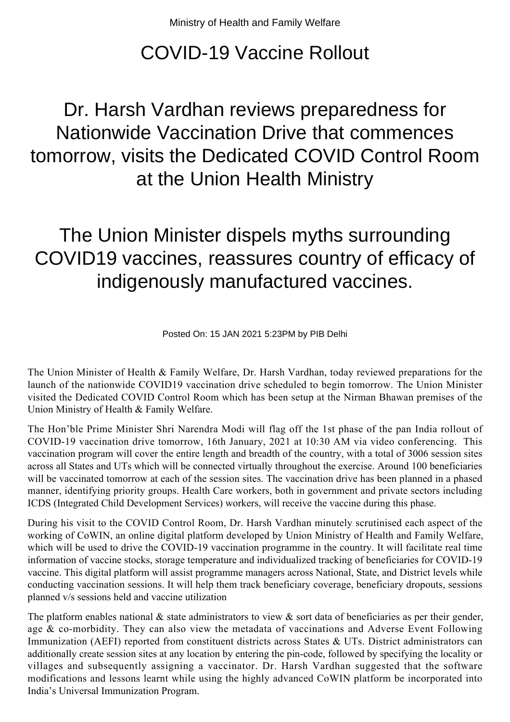## COVID-19 Vaccine Rollout

## Dr. Harsh Vardhan reviews preparedness for Nationwide Vaccination Drive that commences tomorrow, visits the Dedicated COVID Control Room at the Union Health Ministry

## The Union Minister dispels myths surrounding COVID19 vaccines, reassures country of efficacy of indigenously manufactured vaccines.

Posted On: 15 JAN 2021 5:23PM by PIB Delhi

The Union Minister of Health & Family Welfare, Dr. Harsh Vardhan, today reviewed preparations for the launch of the nationwide COVID19 vaccination drive scheduled to begin tomorrow. The Union Minister visited the Dedicated COVID Control Room which has been setup at the Nirman Bhawan premises of the Union Ministry of Health & Family Welfare.

The Hon'ble Prime Minister Shri Narendra Modi will flag off the 1st phase of the pan India rollout of COVID-19 vaccination drive tomorrow, 16th January, 2021 at 10:30 AM via video conferencing. This vaccination program will cover the entire length and breadth of the country, with a total of 3006 session sites across all States and UTs which will be connected virtually throughout the exercise. Around 100 beneficiaries will be vaccinated tomorrow at each of the session sites. The vaccination drive has been planned in a phased manner, identifying priority groups. Health Care workers, both in government and private sectors including ICDS (Integrated Child Development Services) workers, will receive the vaccine during this phase.

During his visit to the COVID Control Room, Dr. Harsh Vardhan minutely scrutinised each aspect of the working of CoWIN, an online digital platform developed by Union Ministry of Health and Family Welfare, which will be used to drive the COVID-19 vaccination programme in the country. It will facilitate real time information of vaccine stocks, storage temperature and individualized tracking of beneficiaries for COVID-19 vaccine. This digital platform will assist programme managers across National, State, and District levels while conducting vaccination sessions. It will help them track beneficiary coverage, beneficiary dropouts, sessions planned v/s sessions held and vaccine utilization

The platform enables national & state administrators to view & sort data of beneficiaries as per their gender, age & co-morbidity. They can also view the metadata of vaccinations and Adverse Event Following Immunization (AEFI) reported from constituent districts across States & UTs. District administrators can additionally create session sites at any location by entering the pin-code, followed by specifying the locality or villages and subsequently assigning a vaccinator. Dr. Harsh Vardhan suggested that the software modifications and lessons learnt while using the highly advanced CoWIN platform be incorporated into India's Universal Immunization Program.